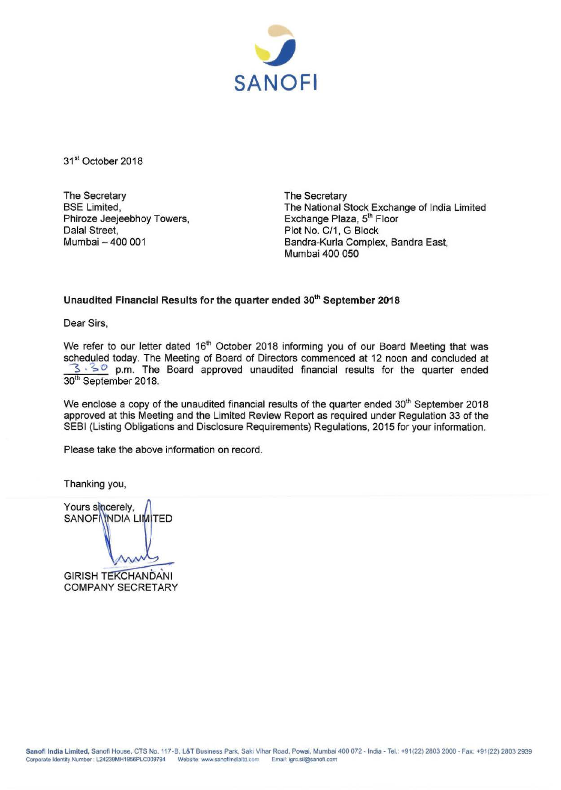

31<sup>st</sup> October 2018

The Secretary BSE Limited, Phiroze Jeejeebhoy Towers, Dalal Street, Mumbai- 400 001

The Secretary The National Stock Exchange of India Limited Exchange Plaza, 5<sup>th</sup> Floor Plot No. C/1, G Block Bandra-Kurla Complex, Sandra East, Mumbai 400 050

## **Unaudited Financial Results for the quarter ended** 30th **September 2018**

Dear Sirs,

We refer to our letter dated 16<sup>th</sup> October 2018 informing you of our Board Meeting that was scheduled today. The Meeting of Board of Directors commenced at 12 noon and concluded at <sup>S</sup>*·s o* p.m. The Board approved unaudited financial results for the quarter ended 30<sup>th</sup> September 2018.

We enclose a copy of the unaudited financial results of the quarter ended 30<sup>th</sup> September 2018 approved at this Meeting and the Limited Review Report as required under Regulation 33 of the SEBI (Listing Obligations and Disclosure Requirements) Regulations, 2015 for your information.

Please take the above information on record.

Thanking you,

Yours sincerely, SANOF NNDIA LIMITED

**GIRISH TEKCHANDANI COMPANY SECRETARY**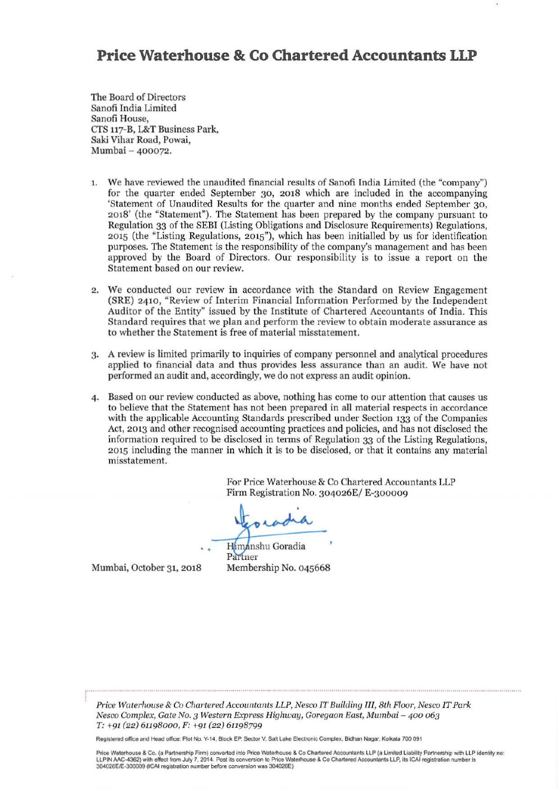## **Price Waterhouse & Co Chartered Accountants LLP**

The Board of Directors Sanofi India Limited Sanofi House, *CTS* 117-B, L&T Business Park, Saki Vihar Road, Powai, Mumbai - 400072.

- 1. We have reviewed the unaudited financial results of Sanofi India Limited (the "company") for the quarter ended September 30, 2018 which are included in the accompanying 'Statement of Unaudited Results for the quarter and nine months ended September 30, 2018' (the "Statement"). The Statement has been prepared by the company pursuant to Regulation 33 of the SEBI (Listing Obligations and Disclosure Requirements) Regulations, 2015 (the "Listing Regulations, 2015"), which has been initialled by us for identification purposes. The Statement is the responsibility of the company's management and has been approved by the Board of Directors. Our responsibility is to issue a report on the Statement based on our review.
- 2. We conducted our review in accordance with the Standard on Review Engagement (SRE) 2410, "Review of Interim Financial Information Performed by the Independent Auditor of the Entity" issued by the Institute of Chartered Accountants of India. This Standard requires that we plan and perform the review to obtain moderate assurance as to whether the Statement is free of material misstatement.
- 3· A review is limited primarily to inquiries of company personnel and analytical procedures applied to financial data and thus provides less assurance than an audit. We have not performed an audit and, accordingly, we do not express an audit opinion.
- 4. Based on our review conducted as above, nothing has come to our attention that causes us to believe that the Statement has not been prepared in all material respects in accordance with the applicable Accounting Standards prescribed under Section 133 of the Companies Act, 2013 and other recognised accounting practices and policies, and has not disclosed the information required to be disclosed in terms of Regulation 33 of the Listing Regulations, 2015 including the manner in which it is to be disclosed, or that it contains any material misstatement.

For Price Waterhouse & Co Chartered Accountants LLP Firm Registration No. 304026E/ E-300009

. .

Himanshu Goradia Partner Membership No. 045668

Mumbai, October 31, 2018

*Price Waterhouse* & *Co Chartered Accountants LLP, Nesco IT Building III, 8th Floor, Nesco IT Park Nesco Complex, Gate No.3 Western Express Highway, Goregaon East, Mumbai - 400 063*  T: +91 *(22)* 61198ooo, F: +91 *(22)* 61198799

Registered olfloe and Head office: Plot No. Y-14. Block EP. Sector v. Salt Lake Electronic Complex. Bidhan Nagar, Kolkata 700 091

Price Waterhouse & Co. (a Partnership Firm) converted into Price Waterhouse & Co Chartered Accountants LLP (a Limited Liability Partnership with LLP identity no: LLPIN AAC-4362) with effect from July 7, 2014. Post its conversion to Price Waterhouse & Co Chartered Accountants LLP, its ICAI registration number is<br>304026E/E-300009 (ICAI registration number before conversion was 304026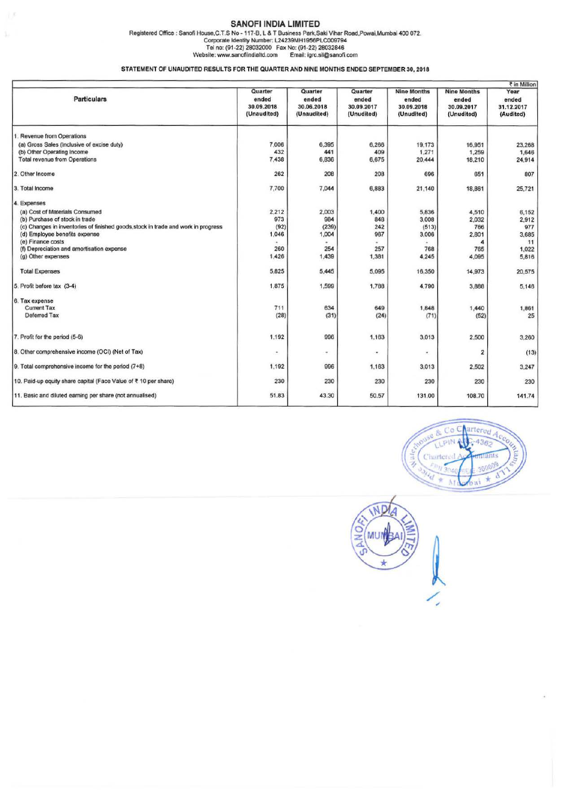## SANOFI INDIA LIMITED

ï.

Registered Office : Sanofi House,C.T.S No - 117-B, L & T Business Park,Saki Vihar Road,Powai,Mumbai 400 072.<br>Corporate Identity Numbair: L24239MH1956PLC009794<br>Tel no: (91-22) 28032000 Fax No: (91-22) 2803000 Fax No.<br>Websit

STATEMENT OF UNAUDITED RESULTS FOR THE QUARTER AND NINE MONTHS ENDED SEPTEMBER 30, 2018

|                                                                                   |                                               | ₹ in Million                                  |                                              |                                                         |                                                         |                                          |  |
|-----------------------------------------------------------------------------------|-----------------------------------------------|-----------------------------------------------|----------------------------------------------|---------------------------------------------------------|---------------------------------------------------------|------------------------------------------|--|
| Particulars                                                                       | Quarter<br>ended<br>30.09.2018<br>(Unaudited) | Quarter<br>ended<br>30.06.2018<br>(Unaudited) | Quarter<br>ended<br>30.09.2017<br>(Unudited) | <b>Nine Months</b><br>ended<br>30.09.2018<br>(Unudited) | <b>Nine Months</b><br>ended<br>30.09.2017<br>(Unudited) | Year<br>ended<br>31.12.2017<br>(Audited) |  |
| 1. Revenue from Operations                                                        |                                               |                                               |                                              |                                                         |                                                         |                                          |  |
| (a) Gross Sales (Inclusive of excise duty)                                        | 7,006                                         | 6,395                                         | 6,266                                        | 19,173                                                  | 16,951                                                  | 23,268                                   |  |
| (b) Other Operating Income                                                        | 432                                           | 441                                           | 409                                          | 1,271                                                   | 1,259                                                   | 1,646                                    |  |
| <b>Total revenue from Operations</b>                                              | 7,438                                         | 6,836                                         | 6,675                                        | 20,444                                                  | 18,210                                                  | 24,914                                   |  |
| 2. Other Income                                                                   | 262                                           | 208                                           | 208                                          | 696                                                     | 651                                                     | 807                                      |  |
| 3. Total Income                                                                   | 7,700                                         | 7.044                                         | 6,883                                        | 21,140                                                  | 18,861                                                  | 25,721                                   |  |
| 4. Expenses                                                                       |                                               |                                               |                                              |                                                         |                                                         |                                          |  |
| (a) Cost of Materials Consumed                                                    | 2,212                                         | 2,003                                         | 1,400                                        | 5,836                                                   | 4,510                                                   | 6,152                                    |  |
| (b) Purchase of stock in trade                                                    | 973                                           | 984                                           | 848                                          | 3,008                                                   | 2,032                                                   | 2,912                                    |  |
| (c) Changes in inventories of finished goods, stock in trade and work in progress | (92)                                          | (239)                                         | 242                                          | (513)                                                   | 766                                                     | 977                                      |  |
| (d) Employee benefits expense                                                     | 1,046                                         | 1,004                                         | 967                                          | 3,006                                                   | 2,801                                                   | 3,685                                    |  |
| (e) Finance costs                                                                 |                                               |                                               |                                              |                                                         |                                                         | 11                                       |  |
| (f) Depreciation and amortisation expense                                         | 260                                           | 254                                           | 257                                          | 768                                                     | 765                                                     | 1,022                                    |  |
| (g) Other expenses                                                                | 1,426                                         | 1,439                                         | 1,381                                        | 4,245                                                   | 4,095                                                   | 5,816                                    |  |
| <b>Total Expenses</b>                                                             | 5,825                                         | 5,445                                         | 5,095                                        | 16,350                                                  | 14,973                                                  | 20,575                                   |  |
| 5. Profit before tax (3-4)                                                        | 1,875                                         | 1,599                                         | 1,788                                        | 4,790                                                   | 3,888                                                   | 5,146                                    |  |
| 6. Tax expense                                                                    |                                               |                                               |                                              |                                                         |                                                         |                                          |  |
| <b>Current Tax</b>                                                                | 711                                           | 634                                           | 649                                          | 1,848                                                   | 1,440                                                   | 1,861                                    |  |
| <b>Deferred Tax</b>                                                               | (28)                                          | (31)                                          | (24)                                         | (71)                                                    | (52)                                                    | 25                                       |  |
| 7. Profit for the period (5-6)                                                    | 1.192                                         | 996                                           | 1.163                                        | 3,013                                                   | 2,500                                                   | 3,260                                    |  |
| 8. Other comprehensive income (OCI) (Net of Tax)                                  | ×                                             | $\overline{\phantom{a}}$                      | ٠                                            | $\bullet$                                               | $\overline{2}$                                          | (13)                                     |  |
| 9. Total comprehensive income for the period (7+8)                                | 1.192                                         | 996                                           | 1,163                                        | 3,013                                                   | 2,502                                                   | 3,247                                    |  |
| 10. Paid-up equity share capital (Face Value of ₹ 10 per share)                   | 230                                           | 230                                           | 230                                          | 230                                                     | 230                                                     | 230                                      |  |
| 11. Basic and diluted earning per share (not annualised)                          | 51.83                                         | 43.30                                         | 50.57                                        | 131.00                                                  | 108.70                                                  | 141.74                                   |  |